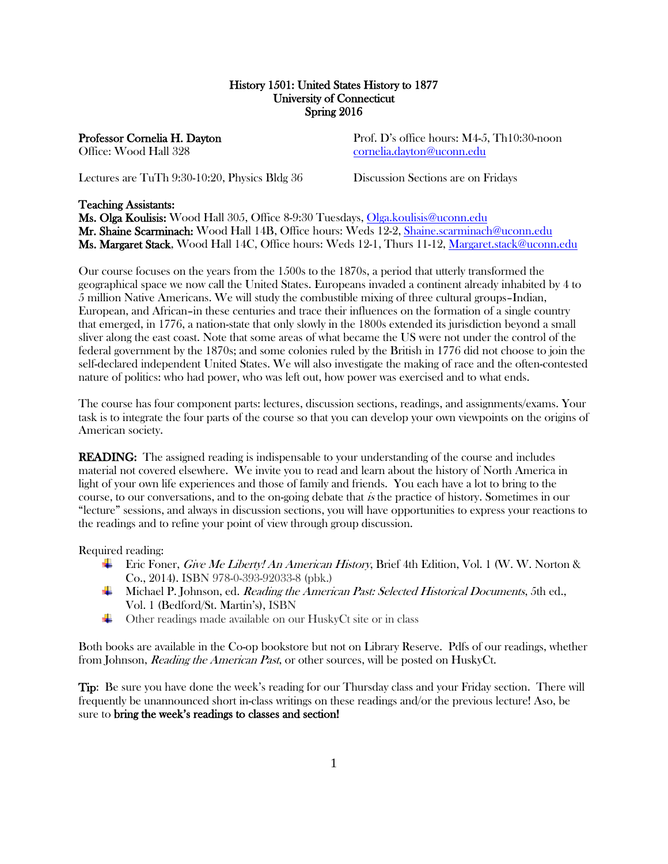# History 1501: United States History to 1877 University of Connecticut Spring 2016

Professor Cornelia H. Dayton Prof. D's office hours: M4-5, Th10:30-noon Office: Wood Hall 328 [cornelia.dayton@uconn.edu](mailto:cornelia.dayton@uconn.edu)

Lectures are TuTh 9:30-10:20, Physics Bldg 36 Discussion Sections are on Fridays

# Teaching Assistants:

Ms. Olga Koulisis: Wood Hall 305, Office 8-9:30 Tuesdays, [Olga.koulisis@uconn.edu](mailto:Olga.koulisis@uconn.edu)  Mr. Shaine Scarminach: Wood Hall 14B, Office hours: Weds 12-2, [Shaine.scarminach@uconn.edu](mailto:Shaine.scarminach@uconn.edu) Ms. Margaret Stack, Wood Hall 14C, Office hours: Weds 12-1, Thurs 11-12, [Margaret.stack@uconn.edu](mailto:Margaret.stack@uconn.edu)

Our course focuses on the years from the 1500s to the 1870s, a period that utterly transformed the geographical space we now call the United States. Europeans invaded a continent already inhabited by 4 to 5 million Native Americans. We will study the combustible mixing of three cultural groups–Indian, European, and African–in these centuries and trace their influences on the formation of a single country that emerged, in 1776, a nation-state that only slowly in the 1800s extended its jurisdiction beyond a small sliver along the east coast. Note that some areas of what became the US were not under the control of the federal government by the 1870s; and some colonies ruled by the British in 1776 did not choose to join the self-declared independent United States. We will also investigate the making of race and the often-contested nature of politics: who had power, who was left out, how power was exercised and to what ends.

The course has four component parts: lectures, discussion sections, readings, and assignments/exams. Your task is to integrate the four parts of the course so that you can develop your own viewpoints on the origins of American society.

READING: The assigned reading is indispensable to your understanding of the course and includes material not covered elsewhere. We invite you to read and learn about the history of North America in light of your own life experiences and those of family and friends. You each have a lot to bring to the course, to our conversations, and to the on-going debate that is the practice of history. Sometimes in our "lecture" sessions, and always in discussion sections, you will have opportunities to express your reactions to the readings and to refine your point of view through group discussion.

Required reading:

- Fixture Frice Foner, *Give Me Liberty! An American History*, Brief 4th Edition, Vol. 1 (W. W. Norton & Co., 2014). ISBN 978-0-393-92033-8 (pbk.)
- **Michael P. Johnson, ed.** *Reading the American Past: Selected Historical Documents***, 5th ed.,** Vol. 1 (Bedford/St. Martin's), ISBN
- ÷ Other readings made available on our HuskyCt site or in class

Both books are available in the Co-op bookstore but not on Library Reserve. Pdfs of our readings, whether from Johnson, *Reading the American Past*, or other sources, will be posted on HuskyCt.

Tip: Be sure you have done the week's reading for our Thursday class and your Friday section. There will frequently be unannounced short in-class writings on these readings and/or the previous lecture! Aso, be sure to bring the week's readings to classes and section!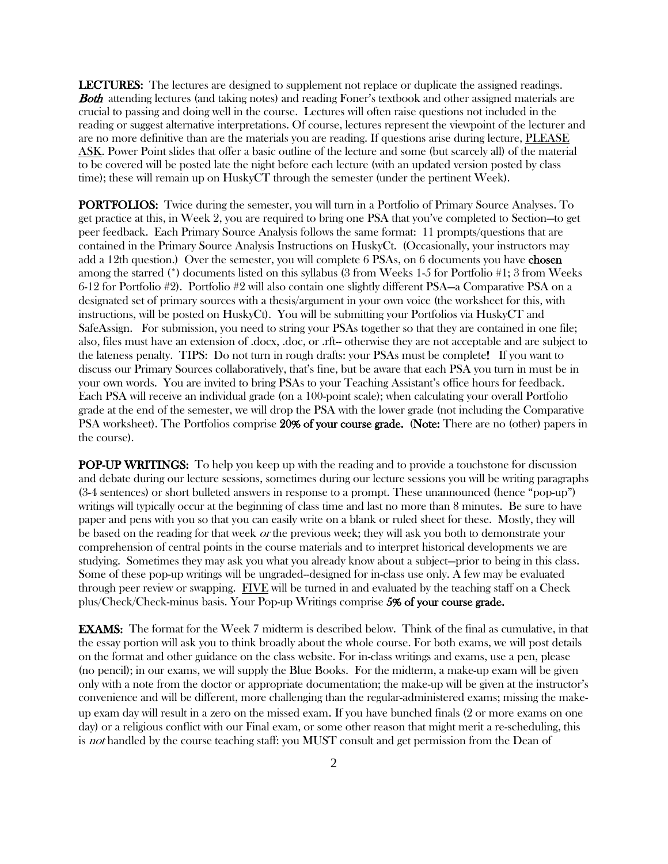LECTURES: The lectures are designed to supplement not replace or duplicate the assigned readings. **Both** attending lectures (and taking notes) and reading Foner's textbook and other assigned materials are crucial to passing and doing well in the course. Lectures will often raise questions not included in the reading or suggest alternative interpretations. Of course, lectures represent the viewpoint of the lecturer and are no more definitive than are the materials you are reading. If questions arise during lecture, PLEASE ASK. Power Point slides that offer a basic outline of the lecture and some (but scarcely all) of the material to be covered will be posted late the night before each lecture (with an updated version posted by class time); these will remain up on HuskyCT through the semester (under the pertinent Week).

PORTFOLIOS: Twice during the semester, you will turn in a Portfolio of Primary Source Analyses. To get practice at this, in Week 2, you are required to bring one PSA that you've completed to Section—to get peer feedback. Each Primary Source Analysis follows the same format: 11 prompts/questions that are contained in the Primary Source Analysis Instructions on HuskyCt. (Occasionally, your instructors may add a 12th question.) Over the semester, you will complete 6 PSAs, on 6 documents you have **chosen** among the starred (\*) documents listed on this syllabus (3 from Weeks 1-5 for Portfolio #1; 3 from Weeks 6-12 for Portfolio #2). Portfolio #2 will also contain one slightly different PSA—a Comparative PSA on a designated set of primary sources with a thesis/argument in your own voice (the worksheet for this, with instructions, will be posted on HuskyCt). You will be submitting your Portfolios via HuskyCT and SafeAssign. For submission, you need to string your PSAs together so that they are contained in one file; also, files must have an extension of .docx, .doc, or .rft-- otherwise they are not acceptable and are subject to the lateness penalty. TIPS: Do not turn in rough drafts: your PSAs must be complete! If you want to discuss our Primary Sources collaboratively, that's fine, but be aware that each PSA you turn in must be in your own words. You are invited to bring PSAs to your Teaching Assistant's office hours for feedback. Each PSA will receive an individual grade (on a 100-point scale); when calculating your overall Portfolio grade at the end of the semester, we will drop the PSA with the lower grade (not including the Comparative PSA worksheet). The Portfolios comprise 20% of your course grade. (Note: There are no (other) papers in the course).

**POP-UP WRITINGS:** To help you keep up with the reading and to provide a touchstone for discussion and debate during our lecture sessions, sometimes during our lecture sessions you will be writing paragraphs (3-4 sentences) or short bulleted answers in response to a prompt. These unannounced (hence "pop-up") writings will typically occur at the beginning of class time and last no more than 8 minutes. Be sure to have paper and pens with you so that you can easily write on a blank or ruled sheet for these. Mostly, they will be based on the reading for that week or the previous week; they will ask you both to demonstrate your comprehension of central points in the course materials and to interpret historical developments we are studying. Sometimes they may ask you what you already know about a subject—prior to being in this class. Some of these pop-up writings will be ungraded--designed for in-class use only. A few may be evaluated through peer review or swapping. FIVE will be turned in and evaluated by the teaching staff on a Check plus/Check/Check-minus basis. Your Pop-up Writings comprise 5% of your course grade.

EXAMS: The format for the Week 7 midterm is described below. Think of the final as cumulative, in that the essay portion will ask you to think broadly about the whole course. For both exams, we will post details on the format and other guidance on the class website. For in-class writings and exams, use a pen, please (no pencil); in our exams, we will supply the Blue Books. For the midterm, a make-up exam will be given only with a note from the doctor or appropriate documentation; the make-up will be given at the instructor's convenience and will be different, more challenging than the regular-administered exams; missing the makeup exam day will result in a zero on the missed exam. If you have bunched finals (2 or more exams on one day) or a religious conflict with our Final exam, or some other reason that might merit a re-scheduling, this is not handled by the course teaching staff: you MUST consult and get permission from the Dean of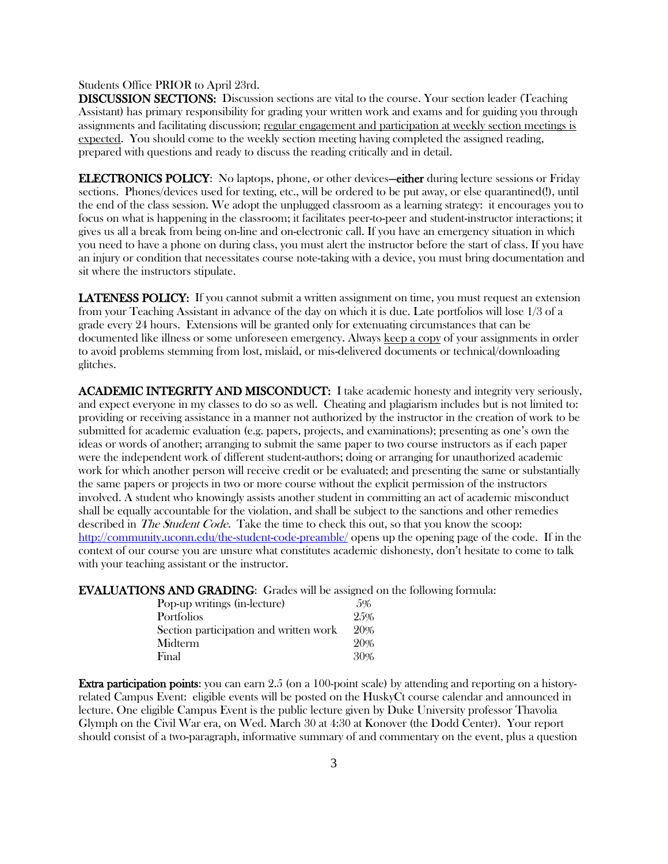#### Students Office PRIOR to April 23rd.

DISCUSSION SECTIONS: Discussion sections are vital to the course. Your section leader (Teaching Assistant) has primary responsibility for grading your written work and exams and for guiding you through assignments and facilitating discussion; regular engagement and participation at weekly section meetings is expected. You should come to the weekly section meeting having completed the assigned reading, prepared with questions and ready to discuss the reading critically and in detail.

ELECTRONICS POLICY: No laptops, phone, or other devices—either during lecture sessions or Friday sections. Phones/devices used for texting, etc., will be ordered to be put away, or else quarantined(!), until the end of the class session. We adopt the unplugged classroom as a learning strategy: it encourages you to focus on what is happening in the classroom; it facilitates peer-to-peer and student-instructor interactions; it gives us all a break from being on-line and on-electronic call. If you have an emergency situation in which you need to have a phone on during class, you must alert the instructor before the start of class. If you have an injury or condition that necessitates course note-taking with a device, you must bring documentation and sit where the instructors stipulate.

**LATENESS POLICY:** If you cannot submit a written assignment on time, you must request an extension from your Teaching Assistant in advance of the day on which it is due. Late portfolios will lose 1/3 of a grade every 24 hours. Extensions will be granted only for extenuating circumstances that can be documented like illness or some unforeseen emergency. Always keep a copy of your assignments in order to avoid problems stemming from lost, mislaid, or mis-delivered documents or technical/downloading glitches.

ACADEMIC INTEGRITY AND MISCONDUCT: I take academic honesty and integrity very seriously, and expect everyone in my classes to do so as well. Cheating and plagiarism includes but is not limited to: providing or receiving assistance in a manner not authorized by the instructor in the creation of work to be submitted for academic evaluation (e.g. papers, projects, and examinations); presenting as one's own the ideas or words of another; arranging to submit the same paper to two course instructors as if each paper were the independent work of different student-authors; doing or arranging for unauthorized academic work for which another person will receive credit or be evaluated; and presenting the same or substantially the same papers or projects in two or more course without the explicit permission of the instructors involved. A student who knowingly assists another student in committing an act of academic misconduct shall be equally accountable for the violation, and shall be subject to the sanctions and other remedies described in *The Student Code*. Take the time to check this out, so that you know the scoop: <http://community.uconn.edu/the-student-code-preamble/> opens up the opening page of the code. If in the context of our course you are unsure what constitutes academic dishonesty, don't hesitate to come to talk with your teaching assistant or the instructor.

EVALUATIONS AND GRADING: Grades will be assigned on the following formula:

| Pop-up writings (in-lecture)           | 5%  |
|----------------------------------------|-----|
| Portfolios                             | 25% |
| Section participation and written work | 20% |
| Midterm                                | 20% |
| Final                                  | 30% |

Extra participation points: you can earn 2.5 (on a 100-point scale) by attending and reporting on a historyrelated Campus Event: eligible events will be posted on the HuskyCt course calendar and announced in lecture. One eligible Campus Event is the public lecture given by Duke University professor Thavolia Glymph on the Civil War era, on Wed. March 30 at 4:30 at Konover (the Dodd Center). Your report should consist of a two-paragraph, informative summary of and commentary on the event, plus a question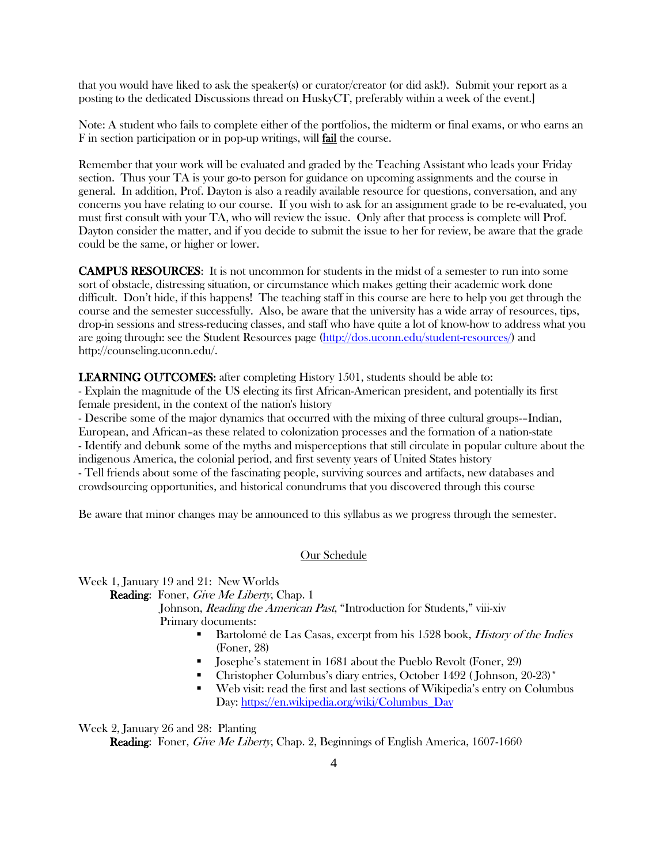that you would have liked to ask the speaker(s) or curator/creator (or did ask!). Submit your report as a posting to the dedicated Discussions thread on HuskyCT, preferably within a week of the event.]

Note: A student who fails to complete either of the portfolios, the midterm or final exams, or who earns an F in section participation or in pop-up writings, will fail the course.

Remember that your work will be evaluated and graded by the Teaching Assistant who leads your Friday section. Thus your TA is your go-to person for guidance on upcoming assignments and the course in general. In addition, Prof. Dayton is also a readily available resource for questions, conversation, and any concerns you have relating to our course. If you wish to ask for an assignment grade to be re-evaluated, you must first consult with your TA, who will review the issue. Only after that process is complete will Prof. Dayton consider the matter, and if you decide to submit the issue to her for review, be aware that the grade could be the same, or higher or lower.

CAMPUS RESOURCES: It is not uncommon for students in the midst of a semester to run into some sort of obstacle, distressing situation, or circumstance which makes getting their academic work done difficult. Don't hide, if this happens! The teaching staff in this course are here to help you get through the course and the semester successfully. Also, be aware that the university has a wide array of resources, tips, drop-in sessions and stress-reducing classes, and staff who have quite a lot of know-how to address what you are going through: see the Student Resources page [\(http://dos.uconn.edu/student-resources/\)](http://dos.uconn.edu/student-resources/) and http://counseling.uconn.edu/.

LEARNING OUTCOMES: after completing History 1501, students should be able to: - Explain the magnitude of the US electing its first African-American president, and potentially its first female president, in the context of the nation's history

- Describe some of the major dynamics that occurred with the mixing of three cultural groups-–Indian, European, and African–as these related to colonization processes and the formation of a nation-state - Identify and debunk some of the myths and misperceptions that still circulate in popular culture about the indigenous America, the colonial period, and first seventy years of United States history - Tell friends about some of the fascinating people, surviving sources and artifacts, new databases and crowdsourcing opportunities, and historical conundrums that you discovered through this course

Be aware that minor changes may be announced to this syllabus as we progress through the semester.

# Our Schedule

Week 1, January 19 and 21: New Worlds

Reading: Foner, Give Me Liberty, Chap. 1

Johnson, *Reading the American Past*, "Introduction for Students," viii-xiv Primary documents:

- Bartolomé de Las Casas, excerpt from his 1528 book, History of the Indies (Foner, 28)
- Josephe's statement in 1681 about the Pueblo Revolt (Foner, 29)
- Christopher Columbus's diary entries, October 1492 ( Johnson, 20-23)\*
- Web visit: read the first and last sections of Wikipedia's entry on Columbus Day: [https://en.wikipedia.org/wiki/Columbus\\_Day](https://en.wikipedia.org/wiki/Columbus_Day)

Week 2, January 26 and 28: Planting

Reading: Foner, Give Me Liberty, Chap. 2, Beginnings of English America, 1607-1660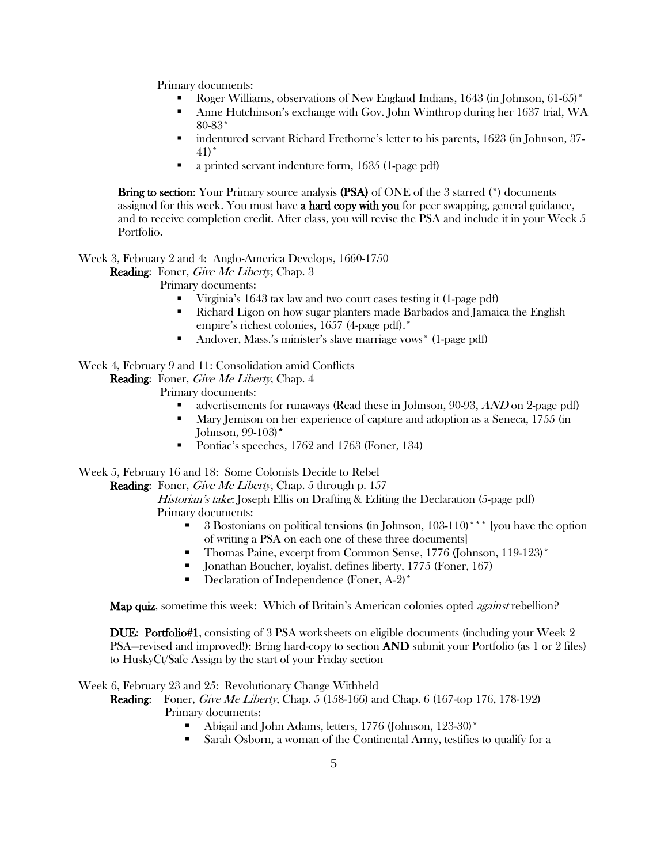Primary documents:

- Roger Williams, observations of New England Indians, 1643 (in Johnson, 61-65)\*
- Anne Hutchinson's exchange with Gov. John Winthrop during her 1637 trial, WA 80-83\*
- indentured servant Richard Frethorne's letter to his parents, 1623 (in Johnson, 37- 41)\*
- a printed servant indenture form, 1635 (1-page pdf)

Bring to section: Your Primary source analysis (PSA) of ONE of the 3 starred (\*) documents assigned for this week. You must have **a hard copy with you** for peer swapping, general guidance, and to receive completion credit. After class, you will revise the PSA and include it in your Week 5 Portfolio.

Week 3, February 2 and 4: Anglo-America Develops, 1660-1750

Reading: Foner, Give Me Liberty, Chap. 3

Primary documents:

- Virginia's 1643 tax law and two court cases testing it (1-page pdf)
- Richard Ligon on how sugar planters made Barbados and Jamaica the English empire's richest colonies, 1657 (4-page pdf).\*
- Andover, Mass.'s minister's slave marriage vows\* (1-page pdf)

## Week 4, February 9 and 11: Consolidation amid Conflicts

Reading: Foner, Give Me Liberty, Chap. 4

Primary documents:

- advertisements for runaways (Read these in Johnson, 90-93, AND on 2-page pdf)
- Mary Jemison on her experience of capture and adoption as a Seneca, 1755 (in Johnson, 99-103)\*
- Pontiac's speeches, 1762 and 1763 (Foner, 134)

Week 5, February 16 and 18: Some Colonists Decide to Rebel

Reading: Foner, Give Me Liberty, Chap. 5 through p. 157

Historian's take: Joseph Ellis on Drafting & Editing the Declaration (5-page pdf) Primary documents:

- 3 Bostonians on political tensions (in Johnson, 103-110)\*\*\* [you have the option of writing a PSA on each one of these three documents]
- Thomas Paine, excerpt from Common Sense, 1776 (Johnson, 119-123)\*
- Jonathan Boucher, loyalist, defines liberty, 1775 (Foner, 167)
- Declaration of Independence (Foner, A-2)\*

Map quiz, sometime this week: Which of Britain's American colonies opted *against* rebellion?

DUE: Portfolio#1, consisting of 3 PSA worksheets on eligible documents (including your Week 2 PSA—revised and improved!): Bring hard-copy to section AND submit your Portfolio (as 1 or 2 files) to HuskyCt/Safe Assign by the start of your Friday section

Week 6, February 23 and 25: Revolutionary Change Withheld

**Reading:** Foner, *Give Me Liberty*, Chap. 5 (158-166) and Chap. 6 (167-top 176, 178-192) Primary documents:

- Abigail and John Adams, letters, 1776 (Johnson, 123-30)\*
- Sarah Osborn, a woman of the Continental Army, testifies to qualify for a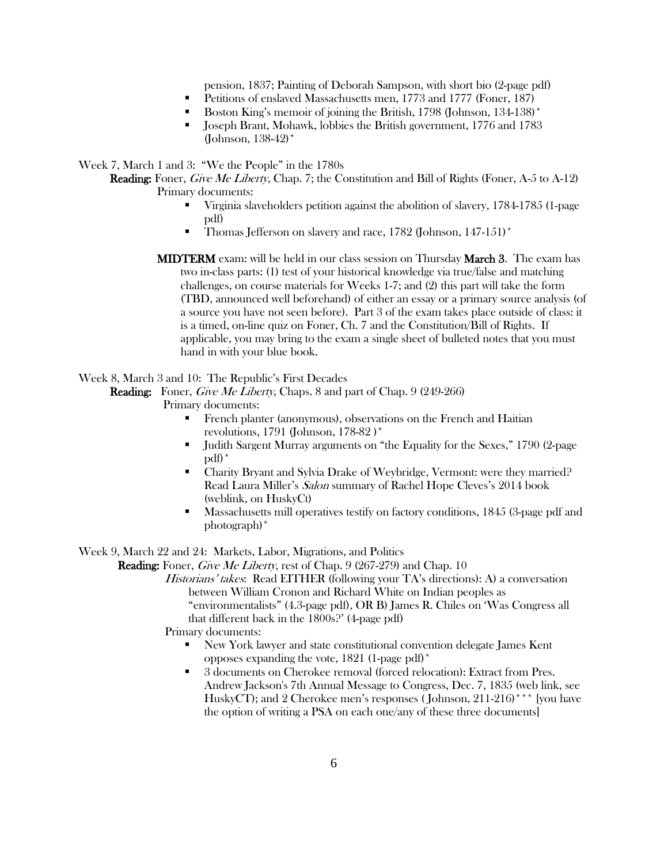pension, 1837; Painting of Deborah Sampson, with short bio (2-page pdf)

- Petitions of enslaved Massachusetts men, 1773 and 1777 (Foner, 187)
- Boston King's memoir of joining the British, 1798 (Johnson, 134-138)<sup>\*</sup>
- Joseph Brant, Mohawk, lobbies the British government, 1776 and 1783 (Johnson, 138-42)\*

Week 7, March 1 and 3: "We the People" in the 1780s

Reading: Foner, Give Me Liberty, Chap. 7; the Constitution and Bill of Rights (Foner, A-5 to A-12) Primary documents:

- Virginia slaveholders petition against the abolition of slavery, 1784-1785 (1-page pdf)
- Thomas Jefferson on slavery and race, 1782 (Johnson, 147-151)<sup>\*</sup>
- MIDTERM exam: will be held in our class session on Thursday March 3. The exam has two in-class parts: (1) test of your historical knowledge via true/false and matching challenges, on course materials for Weeks 1-7; and (2) this part will take the form (TBD, announced well beforehand) of either an essay or a primary source analysis (of a source you have not seen before). Part 3 of the exam takes place outside of class: it is a timed, on-line quiz on Foner, Ch. 7 and the Constitution/Bill of Rights. If applicable, you may bring to the exam a single sheet of bulleted notes that you must hand in with your blue book.

### Week 8, March 3 and 10: The Republic's First Decades

Reading: Foner, Give Me Liberty, Chaps. 8 and part of Chap. 9 (249-266)

Primary documents:

- French planter (anonymous), observations on the French and Haitian revolutions, 1791 (Johnson, 178-82 )\*
- Judith Sargent Murray arguments on "the Equality for the Sexes," 1790 (2-page pdf)\*
- Charity Bryant and Sylvia Drake of Weybridge, Vermont: were they married? Read Laura Miller's Salon summary of Rachel Hope Cleves's 2014 book (weblink, on HuskyCt)
- **Massachusetts mill operatives testify on factory conditions, 1845 (3-page pdf and** photograph)\*

Week 9, March 22 and 24: Markets, Labor, Migrations, and Politics

**Reading:** Foner, *Give Me Liberty*, rest of Chap. 9 (267-279) and Chap. 10

Historians' takes: Read EITHER (following your TA's directions): A) a conversation between William Cronon and Richard White on Indian peoples as "environmentalists" (4.3-page pdf), OR B) James R. Chiles on 'Was Congress all

that different back in the 1800s?' (4-page pdf)

Primary documents:

- New York lawyer and state constitutional convention delegate James Kent opposes expanding the vote, 1821 (1-page pdf)\*
- 3 documents on Cherokee removal (forced relocation): Extract from Pres. Andrew Jackson's 7th Annual Message to Congress, Dec. 7, 1835 (web link, see HuskyCT); and 2 Cherokee men's responses (Johnson, 211-216)<sup>\*\*\*</sup> [you have the option of writing a PSA on each one/any of these three documents]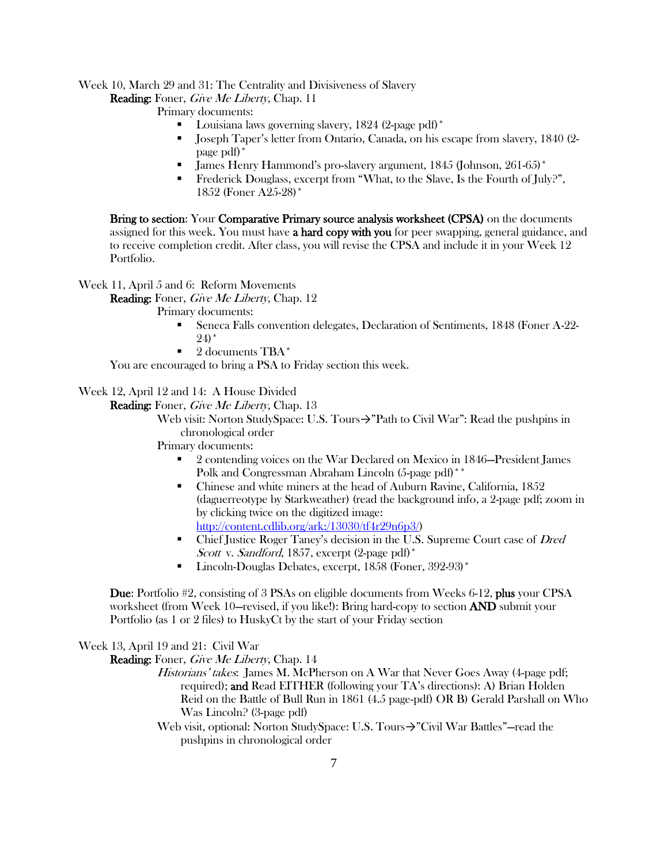## Week 10, March 29 and 31: The Centrality and Divisiveness of Slavery

Reading: Foner, Give Me Liberty, Chap. 11

Primary documents:

- Louisiana laws governing slavery, 1824 (2-page pdf)\*
- Joseph Taper's letter from Ontario, Canada, on his escape from slavery, 1840 (2 page pdf)\*
- James Henry Hammond's pro-slavery argument, 1845 (Johnson, 261-65)\*
- Frederick Douglass, excerpt from "What, to the Slave, Is the Fourth of July?", 1852 (Foner A25-28)\*

Bring to section: Your Comparative Primary source analysis worksheet (CPSA) on the documents assigned for this week. You must have a hard copy with you for peer swapping, general guidance, and to receive completion credit. After class, you will revise the CPSA and include it in your Week 12 Portfolio.

Week 11, April 5 and 6: Reform Movements

Reading: Foner, Give Me Liberty, Chap. 12

Primary documents:

- Seneca Falls convention delegates, Declaration of Sentiments, 1848 (Foner A-22-  $24)$  \*
- 2 documents TBA\*

You are encouraged to bring a PSA to Friday section this week.

Week 12, April 12 and 14: A House Divided

Reading: Foner, Give Me Liberty, Chap. 13

Web visit: Norton StudySpace: U.S. Tours→"Path to Civil War": Read the pushpins in chronological order

### Primary documents:

- 2 contending voices on the War Declared on Mexico in 1846—President James Polk and Congressman Abraham Lincoln (5-page pdf)<sup>\*</sup>
- Chinese and white miners at the head of Auburn Ravine, California, 1852 (daguerreotype by Starkweather) (read the background info, a 2-page pdf; zoom in by clicking twice on the digitized image: [http://content.cdlib.org/ark:/13030/tf4r29n6p3/\)](http://content.cdlib.org/ark:/13030/tf4r29n6p3/)
- Chief Justice Roger Taney's decision in the U.S. Supreme Court case of Dred Scott v. Sandford, 1857, excerpt (2-page pdf)<sup>\*</sup>
- **Lincoln-Douglas Debates, excerpt, 1858 (Foner, 392-93)**\*

Due: Portfolio #2, consisting of 3 PSAs on eligible documents from Weeks 6-12, plus your CPSA worksheet (from Week 10—revised, if you like!): Bring hard-copy to section **AND** submit your Portfolio (as 1 or 2 files) to HuskyCt by the start of your Friday section

Week 13, April 19 and 21: Civil War

Reading: Foner, Give Me Liberty, Chap. 14

- Historians' takes: James M. McPherson on A War that Never Goes Away (4-page pdf; required); and Read EITHER (following your TA's directions): A) Brian Holden Reid on the Battle of Bull Run in 1861 (4.5 page-pdf) OR B) Gerald Parshall on Who Was Lincoln? (3-page pdf)
- Web visit, optional: Norton StudySpace: U.S. Tours→"Civil War Battles"—read the pushpins in chronological order